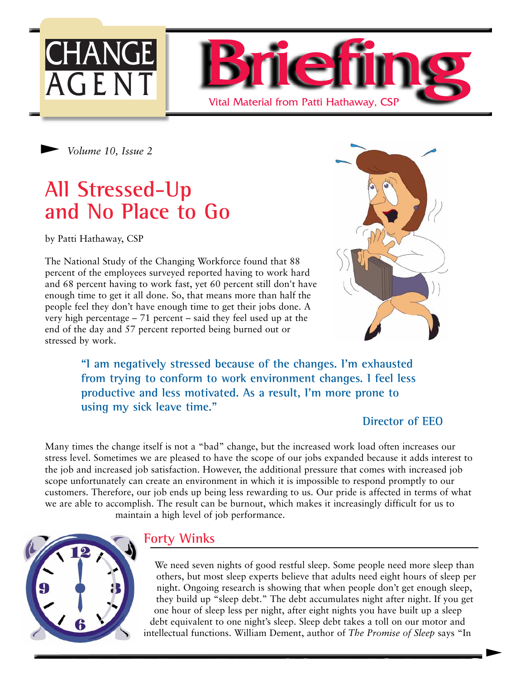

*Volume 10, Issue 2* 

## **All Stressed-Up and No Place to Go**

by Patti Hathaway, CSP

The National Study of the Changing Workforce found that 88 percent of the employees surveyed reported having to work hard and 68 percent having to work fast, yet 60 percent still don't have enough time to get it all done. So, that means more than half the people feel they don't have enough time to get their jobs done. A very high percentage – 71 percent – said they feel used up at the end of the day and 57 percent reported being burned out or stressed by work.



**"I am negatively stressed because of the changes. I'm exhausted from trying to conform to work environment changes. I feel less productive and less motivated. As a result, I'm more prone to using my sick leave time."**

#### **Director of EEO**

 $\blacktriangleright$ 

Many times the change itself is not a "bad" change, but the increased work load often increases our stress level. Sometimes we are pleased to have the scope of our jobs expanded because it adds interest to the job and increased job satisfaction. However, the additional pressure that comes with increased job scope unfortunately can create an environment in which it is impossible to respond promptly to our customers. Therefore, our job ends up being less rewarding to us. Our pride is affected in terms of what we are able to accomplish. The result can be burnout, which makes it increasingly difficult for us to maintain a high level of job performance.



## **Forty Winks**

We need seven nights of good restful sleep. Some people need more sleep than others, but most sleep experts believe that adults need eight hours of sleep per night. Ongoing research is showing that when people don't get enough sleep, they build up "sleep debt." The debt accumulates night after night. If you get one hour of sleep less per night, after eight nights you have built up a sleep debt equivalent to one night's sleep. Sleep debt takes a toll on our motor and intellectual functions. William Dement, author of *The Promise of Sleep* says "In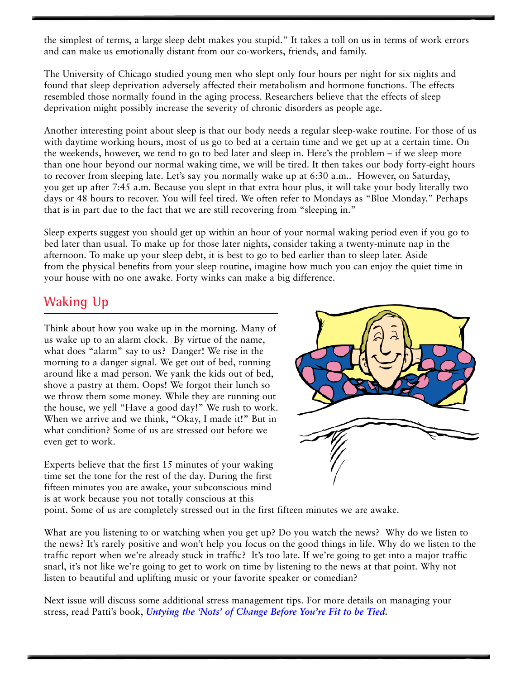the simplest of terms, a large sleep debt makes you stupid." It takes a toll on us in terms of work errors and can make us emotionally distant from our co-workers, friends, and family.

The University of Chicago studied young men who slept only four hours per night for six nights and found that sleep deprivation adversely affected their metabolism and hormone functions. The effects resembled those normally found in the aging process. Researchers believe that the effects of sleep deprivation might possibly increase the severity of chronic disorders as people age.

Another interesting point about sleep is that our body needs a regular sleep-wake routine. For those of us with daytime working hours, most of us go to bed at a certain time and we get up at a certain time. On the weekends, however, we tend to go to bed later and sleep in. Here's the problem – if we sleep more than one hour beyond our normal waking time, we will be tired. It then takes our body forty-eight hours to recover from sleeping late. Let's say you normally wake up at 6:30 a.m.. However, on Saturday, you get up after 7:45 a.m. Because you slept in that extra hour plus, it will take your body literally two days or 48 hours to recover. You will feel tired. We often refer to Mondays as "Blue Monday." Perhaps that is in part due to the fact that we are still recovering from "sleeping in."

Sleep experts suggest you should get up within an hour of your normal waking period even if you go to bed later than usual. To make up for those later nights, consider taking a twenty-minute nap in the afternoon. To make up your sleep debt, it is best to go to bed earlier than to sleep later. Aside from the physical benefits from your sleep routine, imagine how much you can enjoy the quiet time in your house with no one awake. Forty winks can make a big difference.

## **Waking Up**

Think about how you wake up in the morning. Many of us wake up to an alarm clock. By virtue of the name, what does "alarm" say to us? Danger! We rise in the morning to a danger signal. We get out of bed, running around like a mad person. We yank the kids out of bed, shove a pastry at them. Oops! We forgot their lunch so we throw them some money. While they are running out the house, we yell "Have a good day!" We rush to work. When we arrive and we think, "Okay, I made it!" But in what condition? Some of us are stressed out before we even get to work.

Experts believe that the first 15 minutes of your waking time set the tone for the rest of the day. During the first fifteen minutes you are awake, your subconscious mind is at work because you not totally conscious at this



point. Some of us are completely stressed out in the first fifteen minutes we are awake.

What are you listening to or watching when you get up? Do you watch the news? Why do we listen to the news? It's rarely positive and won't help you focus on the good things in life. Why do we listen to the traffic report when we're already stuck in traffic? It's too late. If we're going to get into a major traffic snarl, it's not like we're going to get to work on time by listening to the news at that point. Why not listen to beautiful and uplifting music or your favorite speaker or comedian?

Next issue will discuss some additional stress management tips. For more details on managing your stress, read Patti's book, *[Untying the 'Nots' of Change Before You're Fit to be Tied.](https://www118.rapidsite.net/part88/hathaway-shop/orderfmsite.htm)*